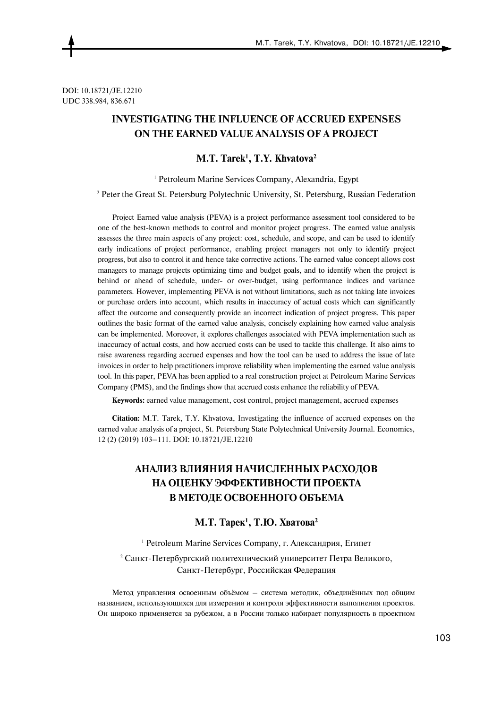DOI: 10.18721/JE.12210 UDC 338.984, 836.671

# **INVESTIGATING THE INFLUENCE OF ACCRUED EXPENSES ON THE EARNED VALUE ANALYSIS OF A PROJECT**

**M.T. Tarek1 , T.Y. Khvatova2** 

1 Petroleum Marine Services Company, Alexandria, Egypt

2 Peter the Great St. Petersburg Polytechnic University, St. Petersburg, Russian Federation

Project Earned value analysis (PEVA) is a project performance assessment tool considered to be one of the best-known methods to control and monitor project progress. The earned value analysis assesses the three main aspects of any project: cost, schedule, and scope, and can be used to identify early indications of project performance, enabling project managers not only to identify project progress, but also to control it and hence take corrective actions. The earned value concept allows cost managers to manage projects optimizing time and budget goals, and to identify when the project is behind or ahead of schedule, under- or over-budget, using performance indices and variance parameters. However, implementing PEVA is not without limitations, such as not taking late invoices or purchase orders into account, which results in inaccuracy of actual costs which can significantly affect the outcome and consequently provide an incorrect indication of project progress. This paper outlines the basic format of the earned value analysis, concisely explaining how earned value analysis can be implemented. Moreover, it explores challenges associated with PEVA implementation such as inaccuracy of actual costs, and how accrued costs can be used to tackle this challenge. It also aims to raise awareness regarding accrued expenses and how the tool can be used to address the issue of late invoices in order to help practitioners improve reliability when implementing the earned value analysis tool. In this paper, PEVA has been applied to a real construction project at Petroleum Marine Services Company (PMS), and the findings show that accrued costs enhance the reliability of PEVA.

**Keywords:** earned value management, cost control, project management, accrued expenses

**Citation:** M.T. Tarek, T.Y. Khvatova, Investigating the influence of accrued expenses on the earned value analysis of a project, St. Petersburg State Polytechnical University Journal. Economics, 12 (2) (2019) 103–111. DOI: 10.18721/JE.12210

# **АНАЛИЗ ВЛИЯНИЯ НАЧИСЛЕННЫХ РАСХОДОВ НА ОЦЕНКУ ЭФФЕКТИВНОСТИ ПРОЕКТА В МЕТОДЕ ОСВОЕННОГО ОБЪЕМА**

## **M.T. Taрeк<sup>1</sup> , Т.Ю. Хватова<sup>2</sup>**

<sup>1</sup> Petroleum Marine Services Company, г. Александрия, Египет

<sup>2</sup> Санкт-Петербургский политехнический университет Петра Великого, Санкт-Петербург, Российская Федерация

Метод управления освоенным объёмом – система методик, объединённых под общим названием, использующихся для измерения и контроля эффективности выполнения проектов. Он широко применяется за рубежом, а в России только набирает популярность в проектном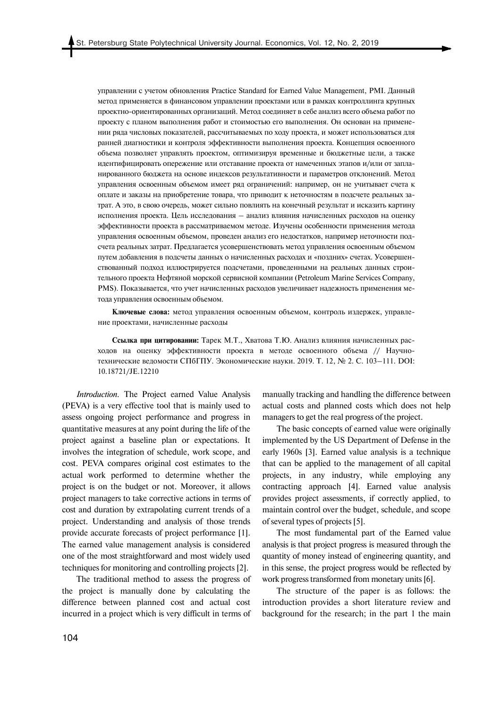управлении с учетом обновления Practice Standard for Earned Value Management, PMI. Данный метод применяется в финансовом управлении проектами или в рамках контроллинга крупных проектно-ориентированных организаций. Метод соединяет в себе анализ всего объема работ по проекту с планом выполнения работ и стоимостью его выполнения. Он основан на применении ряда числовых показателей, рассчитываемых по ходу проекта, и может использоваться для ранней диагностики и контроля эффективности выполнения проекта. Концепция освоенного объема позволяет управлять проектом, оптимизируя временные и бюджетные цели, а также идентифицировать опережение или отставание проекта от намеченных этапов и/или от запланированного бюджета на основе индексов результативности и параметров отклонений. Метод управления освоенным объемом имеет ряд ограничений: например, он не учитывает счета к оплате и заказы на приобретение товара, что приводит к неточностям в подсчете реальных затрат. А это, в свою очередь, может сильно повлиять на конечный результат и исказить картину исполнения проекта. Цель исследования – анализ влияния начисленных расходов на оценку эффективности проекта в рассматриваемом методе. Изучены особенности применения метода управления освоенным объемом, проведен анализ его недостатков, например неточности подсчета реальных затрат. Предлагается усовершенствовать метод управления освоенным объемом путем добавления в подсчеты данных о начисленных расходах и «поздних» счетах. Усовершенствованный подход иллюстрируется подсчетами, проведенными на реальных данных строительного проекта Нефтяной морской сервисной компании (Petroleum Marine Services Company, PMS). Показывается, что учет начисленных расходов увеличивает надежность применения метода управления освоенным объемом.

**Ключевые слова:** метод управления освоенным объемом, контроль издержек, управление проектами, начисленные расходы

**Ссылка при цитировании:** Taрeк M.T., Хватова Т.Ю. Анализ влияния начисленных расходов на оценку эффективности проекта в методе освоенного объема // Научнотехнические ведомости СПбГПУ. Экономические науки. 2019. Т. 12, № 2. С. 103–111. DOI: 10.18721/JE.12210

*Introduction.* The Project earned Value Analysis (PEVA) is a very effective tool that is mainly used to assess ongoing project performance and progress in quantitative measures at any point during the life of the project against a baseline plan or expectations. It involves the integration of schedule, work scope, and cost. PEVA compares original cost estimates to the actual work performed to determine whether the project is on the budget or not. Moreover, it allows project managers to take corrective actions in terms of cost and duration by extrapolating current trends of a project. Understanding and analysis of those trends provide accurate forecasts of project performance [1]. The earned value management analysis is considered one of the most straightforward and most widely used techniques for monitoring and controlling projects [2].

The traditional method to assess the progress of the project is manually done by calculating the difference between planned cost and actual cost incurred in a project which is very difficult in terms of manually tracking and handling the difference between actual costs and planned costs which does not help managers to get the real progress of the project.

The basic concepts of earned value were originally implemented by the US Department of Defense in the early 1960s [3]. Earned value analysis is a technique that can be applied to the management of all capital projects, in any industry, while employing any contracting approach [4]. Earned value analysis provides project assessments, if correctly applied, to maintain control over the budget, schedule, and scope of several types of projects [5].

The most fundamental part of the Earned value analysis is that project progress is measured through the quantity of money instead of engineering quantity, and in this sense, the project progress would be reflected by work progress transformed from monetary units [6].

The structure of the paper is as follows: the introduction provides a short literature review and background for the research; in the part 1 the main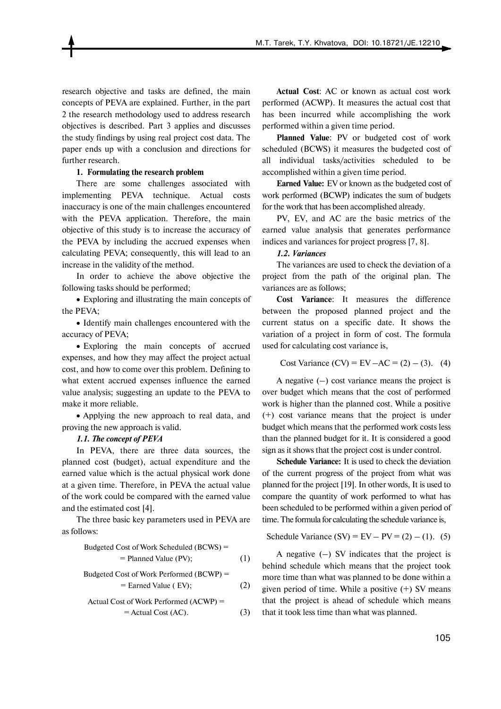research objective and tasks are defined, the main concepts of PEVA are explained. Further, in the part 2 the research methodology used to address research objectives is described. Part 3 applies and discusses the study findings by using real project cost data. The paper ends up with a conclusion and directions for further research.

## **1. Formulating the research problem**

There are some challenges associated with implementing PEVA technique. Actual costs inaccuracy is one of the main challenges encountered with the PEVA application. Therefore, the main objective of this study is to increase the accuracy of the PEVA by including the accrued expenses when calculating PEVA; consequently, this will lead to an increase in the validity of the method.

In order to achieve the above objective the following tasks should be performed;

 Exploring and illustrating the main concepts of the PEVA;

• Identify main challenges encountered with the accuracy of PEVA;

 Exploring the main concepts of accrued expenses, and how they may affect the project actual cost, and how to come over this problem. Defining to what extent accrued expenses influence the earned value analysis; suggesting an update to the PEVA to make it more reliable.

• Applying the new approach to real data, and proving the new approach is valid.

### *1.1. The concept of PEVA*

In PEVA, there are three data sources, the planned cost (budget), actual expenditure and the earned value which is the actual physical work done at a given time. Therefore, in PEVA the actual value of the work could be compared with the earned value and the estimated cost [4].

The three basic key parameters used in PEVA are as follows:

Budgeted Cost of Work Scheduled (BCWS) =

\n
$$
= \text{Planned Value (PV)};
$$

\n(1)

Budgeted Cost of Work Performance (BCWP) =

\n
$$
= \text{Earned Value (EV)};
$$

\n(2)

 Actual Cost of Work Performed (ACWP) = = Actual Cost (AC). (3)

**Actual Cost**: AC or known as actual cost work performed (ACWP). It measures the actual cost that has been incurred while accomplishing the work performed within a given time period.

**Planned Value**: PV or budgeted cost of work scheduled (BCWS) it measures the budgeted cost of all individual tasks/activities scheduled to be accomplished within a given time period.

**Earned Value:** EV or known as the budgeted cost of work performed (BCWP) indicates the sum of budgets for the work that has been accomplished already.

PV, EV, and AC are the basic metrics of the earned value analysis that generates performance indices and variances for project progress [7, 8].

# *1.2. Variances*

The variances are used to check the deviation of a project from the path of the original plan. The variances are as follows;

**Cost Variance**: It measures the difference between the proposed planned project and the current status on a specific date. It shows the variation of a project in form of cost. The formula used for calculating cost variance is,

Cost Variance (CV) = EV – AC = (2) – (3). (4)

A negative  $(-)$  cost variance means the project is over budget which means that the cost of performed work is higher than the planned cost. While a positive (+) cost variance means that the project is under budget which means that the performed work costs less than the planned budget for it. It is considered a good sign as it shows that the project cost is under control.

**Schedule Variance:** It is used to check the deviation of the current progress of the project from what was planned for the project [19]. In other words, It is used to compare the quantity of work performed to what has been scheduled to be performed within a given period of time. The formula for calculating the schedule variance is,

Schedule Variance (SV) =  $EV - PV = (2) - (1)$ . (5)

A negative  $(-)$  SV indicates that the project is behind schedule which means that the project took more time than what was planned to be done within a given period of time. While a positive  $(+)$  SV means that the project is ahead of schedule which means that it took less time than what was planned.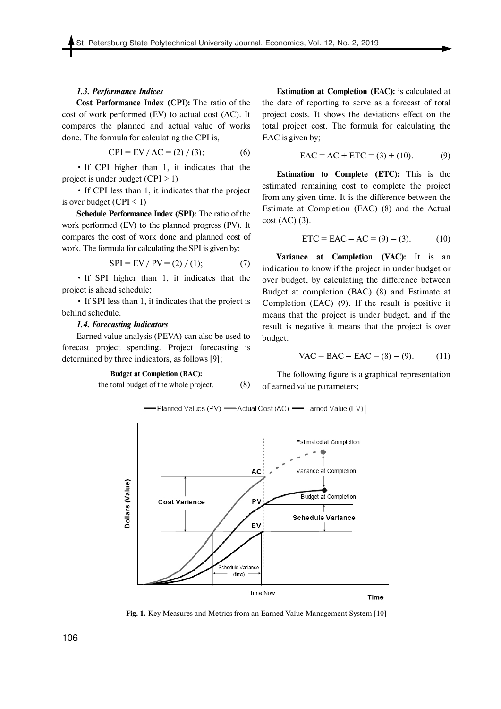#### *1.3. Performance Indices*

**Cost Performance Index (CPI):** The ratio of the cost of work performed (EV) to actual cost (AC). It compares the planned and actual value of works done. The formula for calculating the CPI is,

$$
CPI = EV / AC = (2) / (3); \tag{6}
$$

• If CPI higher than 1, it indicates that the project is under budget  $(CPI > 1)$ 

• If CPI less than 1, it indicates that the project is over budget (CPI  $\leq$  1)

**Schedule Performance Index (SPI):** The ratio of the work performed (EV) to the planned progress (PV). It compares the cost of work done and planned cost of work. The formula for calculating the SPI is given by;

$$
SPI = EV / PV = (2) / (1); \tag{7}
$$

• If SPI higher than 1, it indicates that the project is ahead schedule;

• If SPI less than 1, it indicates that the project is behind schedule.

#### *1.4. Forecasting Indicators*

Earned value analysis (PEVA) can also be used to forecast project spending. Project forecasting is determined by three indicators, as follows [9];

# **Budget at Completion (BAC):**

the total budget of the whole project. (8)

**Estimation at Completion (EAC):** is calculated at the date of reporting to serve as a forecast of total project costs. It shows the deviations effect on the total project cost. The formula for calculating the EAC is given by;

 $EAC = AC + ETC = (3) + (10).$  (9)

**Estimation to Complete (ETC):** This is the estimated remaining cost to complete the project from any given time. It is the difference between the Estimate at Completion (EAC) (8) and the Actual cost (AC) (3).

$$
ETC = EAC - AC = (9) - (3). \tag{10}
$$

**Variance at Completion (VAC):** It is an indication to know if the project in under budget or over budget, by calculating the difference between Budget at completion (BAC) (8) and Estimate at Completion (EAC) (9). If the result is positive it means that the project is under budget, and if the result is negative it means that the project is over budget.

$$
VAC = BAC - EAC = (8) - (9). \tag{11}
$$

The following figure is a graphical representation of earned value parameters;



**Fig. 1.** Key Measures and Metrics from an Earned Value Management System [10]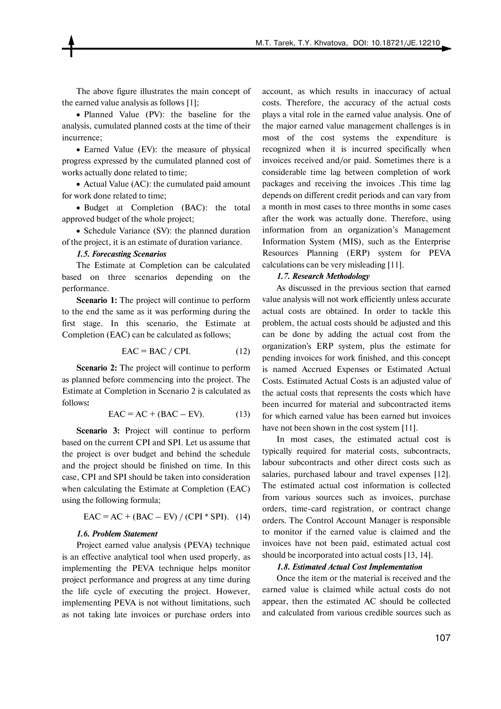The above figure illustrates the main concept of the earned value analysis as follows [1];

• Planned Value (PV): the baseline for the analysis, cumulated planned costs at the time of their incurrence;

• Earned Value (EV): the measure of physical progress expressed by the cumulated planned cost of works actually done related to time;

• Actual Value (AC): the cumulated paid amount for work done related to time;

• Budget at Completion (BAC): the total approved budget of the whole project;

• Schedule Variance (SV): the planned duration of the project, it is an estimate of duration variance.

### *1.5. Forecasting Scenarios*

The Estimate at Completion can be calculated based on three scenarios depending on the performance.

**Scenario 1:** The project will continue to perform to the end the same as it was performing during the first stage. In this scenario, the Estimate at Completion (EAC) can be calculated as follows;

$$
EAC = BAC / CPI.
$$
 (12)

**Scenario 2:** The project will continue to perform as planned before commencing into the project. The Estimate at Completion in Scenario 2 is calculated as follows**:**

$$
EAC = AC + (BAC - EV). \tag{13}
$$

**Scenario 3:** Project will continue to perform based on the current CPI and SPI. Let us assume that the project is over budget and behind the schedule and the project should be finished on time. In this case, CPI and SPI should be taken into consideration when calculating the Estimate at Completion (EAC) using the following formula;

$$
EAC = AC + (BAC - EV) / (CPI * SPI).
$$
 (14)

#### *1.6. Problem Statement*

Project earned value analysis (PEVA) technique is an effective analytical tool when used properly, as implementing the PEVA technique helps monitor project performance and progress at any time during the life cycle of executing the project. However, implementing PEVA is not without limitations, such as not taking late invoices or purchase orders into account, as which results in inaccuracy of actual costs. Therefore, the accuracy of the actual costs plays a vital role in the earned value analysis. One of the major earned value management challenges is in most of the cost systems the expenditure is recognized when it is incurred specifically when invoices received and/or paid. Sometimes there is a considerable time lag between completion of work packages and receiving the invoices .This time lag depends on different credit periods and can vary from a month in most cases to three months in some cases after the work was actually done. Therefore, using information from an organization's Management Information System (MIS), such as the Enterprise Resources Planning (ERP) system for PEVA calculations can be very misleading [11].

## *1.7. Research Methodology*

As discussed in the previous section that earned value analysis will not work efficiently unless accurate actual costs are obtained. In order to tackle this problem, the actual costs should be adjusted and this can be done by adding the actual cost from the organization's ERP system, plus the estimate for pending invoices for work finished, and this concept is named Accrued Expenses or Estimated Actual Costs. Estimated Actual Costs is an adjusted value of the actual costs that represents the costs which have been incurred for material and subcontracted items for which earned value has been earned but invoices have not been shown in the cost system [11].

In most cases, the estimated actual cost is typically required for material costs, subcontracts, labour subcontracts and other direct costs such as salaries, purchased labour and travel expenses [12]. The estimated actual cost information is collected from various sources such as invoices, purchase orders, time-card registration, or contract change orders. The Control Account Manager is responsible to monitor if the earned value is claimed and the invoices have not been paid, estimated actual cost should be incorporated into actual costs [13, 14].

#### *1.8. Estimated Actual Cost Implementation*

Once the item or the material is received and the earned value is claimed while actual costs do not appear, then the estimated AC should be collected and calculated from various credible sources such as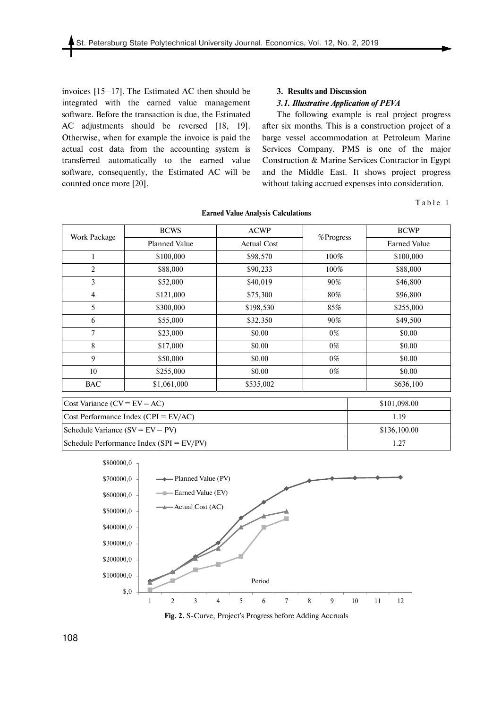invoices [15–17]. The Estimated AC then should be integrated with the earned value management software. Before the transaction is due, the Estimated AC adjustments should be reversed [18, 19]. Otherwise, when for example the invoice is paid the actual cost data from the accounting system is transferred automatically to the earned value software, consequently, the Estimated AC will be counted once more [20].

## **3. Results and Discussion**

### *3.1. Illustrative Application of PEVA*

The following example is real project progress after six months. This is a construction project of a barge vessel accommodation at Petroleum Marine Services Company. PMS is one of the major Construction & Marine Services Contractor in Egypt and the Middle East. It shows project progress without taking accrued expenses into consideration.

Table 1

| Work Package                            | <b>BCWS</b>          | <b>ACWP</b>        | %Progress | <b>BCWP</b>         |
|-----------------------------------------|----------------------|--------------------|-----------|---------------------|
|                                         | <b>Planned Value</b> | <b>Actual Cost</b> |           | <b>Earned Value</b> |
|                                         | \$100,000            | \$98,570           | 100%      | \$100,000           |
| $\overline{2}$                          | \$88,000             | \$90,233           | 100%      | \$88,000            |
| 3                                       | \$52,000             | \$40,019           | 90%       | \$46,800            |
| $\overline{4}$                          | \$121,000            | \$75,300           | 80%       | \$96,800            |
| 5                                       | \$300,000            | \$198,530          | 85%       | \$255,000           |
| 6                                       | \$55,000             | \$32,350           | 90%       | \$49,500            |
| $7\overline{ }$                         | \$23,000             | \$0.00             | $0\%$     | \$0.00              |
| 8                                       | \$17,000             | \$0.00             | $0\%$     | \$0.00              |
| 9                                       | \$50,000             | \$0.00             | $0\%$     | \$0.00              |
| 10                                      | \$255,000            | \$0.00             | $0\%$     | \$0.00              |
| <b>BAC</b>                              | \$1,061,000          | \$535,002          |           | \$636,100           |
| Cost Variance $(CV = EV - AC)$          |                      | \$101,098.00       |           |                     |
| Cost Performance Index (CPI = $EV/AC$ ) |                      | 1.19               |           |                     |
| Schedule Variance $(SV = EV - PV)$      |                      | \$136,100.00       |           |                     |

#### **Earned Value Analysis Calculations**



Schedule Performance Index (SPI = EV/PV) 1.27

**Fig. 2.** S-Curve, Project's Progress before Adding Accruals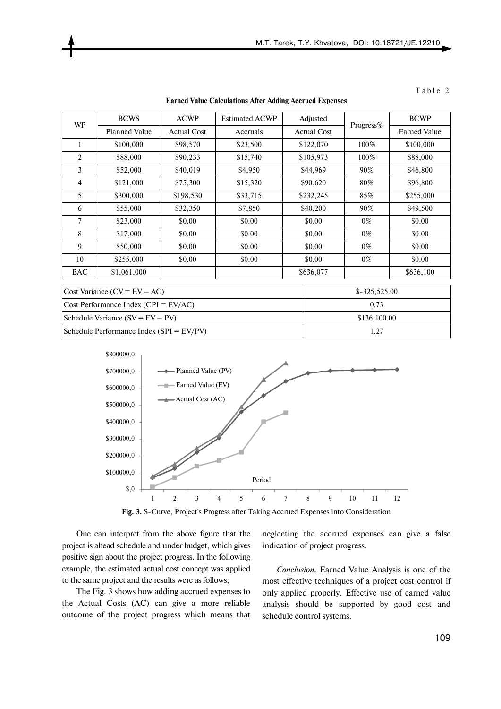|  |  | n. |  |  |  |
|--|--|----|--|--|--|
|--|--|----|--|--|--|

| WP                                           | <b>BCWS</b>          | <b>ACWP</b>        | <b>Estimated ACWP</b> | Adjusted           |                | <b>BCWP</b>         |  |
|----------------------------------------------|----------------------|--------------------|-----------------------|--------------------|----------------|---------------------|--|
|                                              | <b>Planned Value</b> | <b>Actual Cost</b> | Accruals              | <b>Actual Cost</b> | Progress%      | <b>Earned Value</b> |  |
| 1                                            | \$100,000            | \$98,570           | \$23,500              | \$122,070          | 100%           | \$100,000           |  |
| $\overline{2}$                               | \$88,000             | \$90,233           | \$15,740              | \$105,973          | 100%           | \$88,000            |  |
| 3                                            | \$52,000             | \$40,019           | \$4,950               | \$44,969           | 90%            | \$46,800            |  |
| 4                                            | \$121,000            | \$75,300           | \$15,320              | \$90,620           | 80%            | \$96,800            |  |
| 5                                            | \$300,000            | \$198,530          | \$33,715              | \$232,245          | 85%            | \$255,000           |  |
| 6                                            | \$55,000             | \$32,350           | \$7,850               | \$40,200           | 90%            | \$49,500            |  |
| 7                                            | \$23,000             | \$0.00             | \$0.00                | \$0.00             | $0\%$          | \$0.00              |  |
| 8                                            | \$17,000             | \$0.00             | \$0.00                | \$0.00             | $0\%$          | \$0.00              |  |
| 9                                            | \$50,000             | \$0.00             | \$0.00                | \$0.00             | $0\%$          | \$0.00              |  |
| 10                                           | \$255,000            | \$0.00             | \$0.00                | \$0.00             | $0\%$          | \$0.00              |  |
| <b>BAC</b>                                   | \$1,061,000          |                    |                       | \$636,077          |                | \$636,100           |  |
| Cost Variance $(CV = EV - AC)$               |                      |                    |                       |                    | $$-325,525.00$ |                     |  |
| Cost Performance Index (CPI = $EV/AC$ )      |                      |                    |                       |                    | 0.73           |                     |  |
| Schedule Variance $(SV = EV - PV)$           |                      |                    |                       |                    | \$136,100.00   |                     |  |
| Schedule Performance Index ( $SPI = EV/PV$ ) |                      |                    |                       |                    | 1.27           |                     |  |

**Earned Value Calculations After Adding Accrued Expenses** 



**Fig. 3.** S-Curve, Project's Progress after Taking Accrued Expenses into Consideration

One can interpret from the above figure that the project is ahead schedule and under budget, which gives positive sign about the project progress. In the following example, the estimated actual cost concept was applied to the same project and the results were as follows;

The Fig. 3 shows how adding accrued expenses to the Actual Costs (AC) can give a more reliable outcome of the project progress which means that

neglecting the accrued expenses can give a false indication of project progress.

*Conclusion.* Earned Value Analysis is one of the most effective techniques of a project cost control if only applied properly. Effective use of earned value analysis should be supported by good cost and schedule control systems.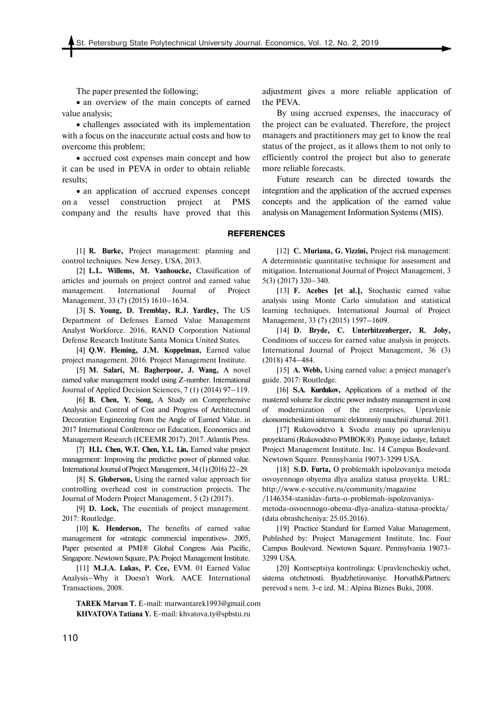The paper presented the following;

• an overview of the main concepts of earned value analysis;

 challenges associated with its implementation with a focus on the inaccurate actual costs and how to overcome this problem;

 accrued cost expenses main concept and how it can be used in PEVA in order to obtain reliable results;

• an application of accrued expenses concept on a vessel construction project at PMS company and the results have proved that this

[1] **R. Burke,** Project management: planning and control techniques. New Jersey, USA, 2013.

[2] **L.L. Willems, M. Vanhoucke,** Classification of articles and journals on project control and earned value management. International Journal of Project Management, 33 (7) (2015) 1610–1634.

[3] **S. Young, D. Tremblay, R.J. Yardley,** The US Department of Defenses Earned Value Management Analyst Workforce. 2016, RAND Corporation National Defense Research Institute Santa Monica United States.

[4] **Q.W. Fleming, J.M. Koppelman,** Earned value project management. 2016. Project Management Institute.

[5] **M. Salari, M. Bagherpour, J. Wang,** A novel earned value management model using Z-number. International Journal of Applied Decision Sciences, 7 (1) (2014) 97–119.

[6] **B. Chen, Y. Song,** A Study on Comprehensive Analysis and Control of Cost and Progress of Architectural Decoration Engineering from the Angle of Earned Value. in 2017 International Conference on Education, Economics and Management Research (ICEEMR 2017). 2017. Atlantis Press.

[7] **H.L. Chen, W.T. Chen, Y.L. Lin,** Earned value project management: Improving the predictive power of planned value. International Journal of Project Management, 34 (1) (2016) 22–29.

[8] **S. Globerson,** Using the earned value approach for controlling overhead cost in construction projects. The Journal of Modern Project Management, 5 (2) (2017).

[9] **D. Lock,** The essentials of project management. 2017: Routledge.

[10] **K. Henderson,** The benefits of earned value management for «strategic commercial imperatives». 2005, Paper presented at PMI® Global Congress Asia Pacific, Singapore. Newtown Square, PA: Project Management Institute.

[11] **M.J.A. Lukas, P. Cce, EVM.** 01 Earned Value Analysis–Why it Doesn't Work. AACE International Transactions, 2008.

**TAREK Marvan T.** E-mail: marwantarek1993@gmail.com **KHVATOVA Tatiana Y.** E-mail: khvatova.ty@spbstu.ru

adjustment gives a more reliable application of the PEVA.

By using accrued expenses, the inaccuracy of the project can be evaluated. Therefore, the project managers and practitioners may get to know the real status of the project, as it allows them to not only to efficiently control the project but also to generate more reliable forecasts.

Future research can be directed towards the integration and the application of the accrued expenses concepts and the application of the earned value analysis on Management Information Systems (MIS).

**REFERENCES** 

[12] **C. Muriana, G. Vizzini,** Project risk management: A deterministic quantitative technique for assessment and mitigation. International Journal of Project Management, 3 5(3) (2017) 320–340.

[13] **F. Acebes [et al.],** Stochastic earned value analysis using Monte Carlo simulation and statistical learning techniques. International Journal of Project Management, 33 (7) (2015) 1597–1609.

[14] **D. Bryde, C. Unterhitzenberger, R. Joby,**  Conditions of success for earned value analysis in projects. International Journal of Project Management, 36 (3) (2018) 474–484.

[15] **A. Webb,** Using earned value: a project manager's guide. 2017: Routledge.

[16] **S.A. Kurdukov,** Applications of a method of the mastered volume for electric power industry management in cost of modernization of the enterprises, Upravlenie ekonomicheskimi sistemami: elektronniy nauchnii zhurnal. 2011.

[17] Rukovodstvo k Svodu znaniy po upravleniyu proyektami (Rukovodstvo PMBOK®). Pyatoye izdaniye, Izdatel: Project Management Institute. Inc. 14 Campus Boulevard. Newtown Square. Pennsylvania 19073-3299 USA.

[18] **S.D. Furta,** O problemakh ispolzovaniya metoda osvoyennogo obyema dlya analiza statusa proyekta. URL: http://www.e-xecutive.ru/community/magazine

/1146354-stanislav-furta-o-problemah-ispolzovaniya-

metoda-osvoennogo-obema-dlya-analiza-statusa-proekta/ (data obrashcheniya: 25.05.2016).

[19] Practice Standard for Earned Value Management, Published by: Project Management Institute. Inc. Four Campus Boulevard. Newtown Square. Pennsylvania 19073- 3299 USA.

[20] Kontseptsiya kontrolinga: Upravlencheskiy uchet, sistema otchetnosti. Byudzhetirovaniye. Horvath&Partners: perevod s nem. 3-е izd. M.: Alpina Biznes Buks, 2008.